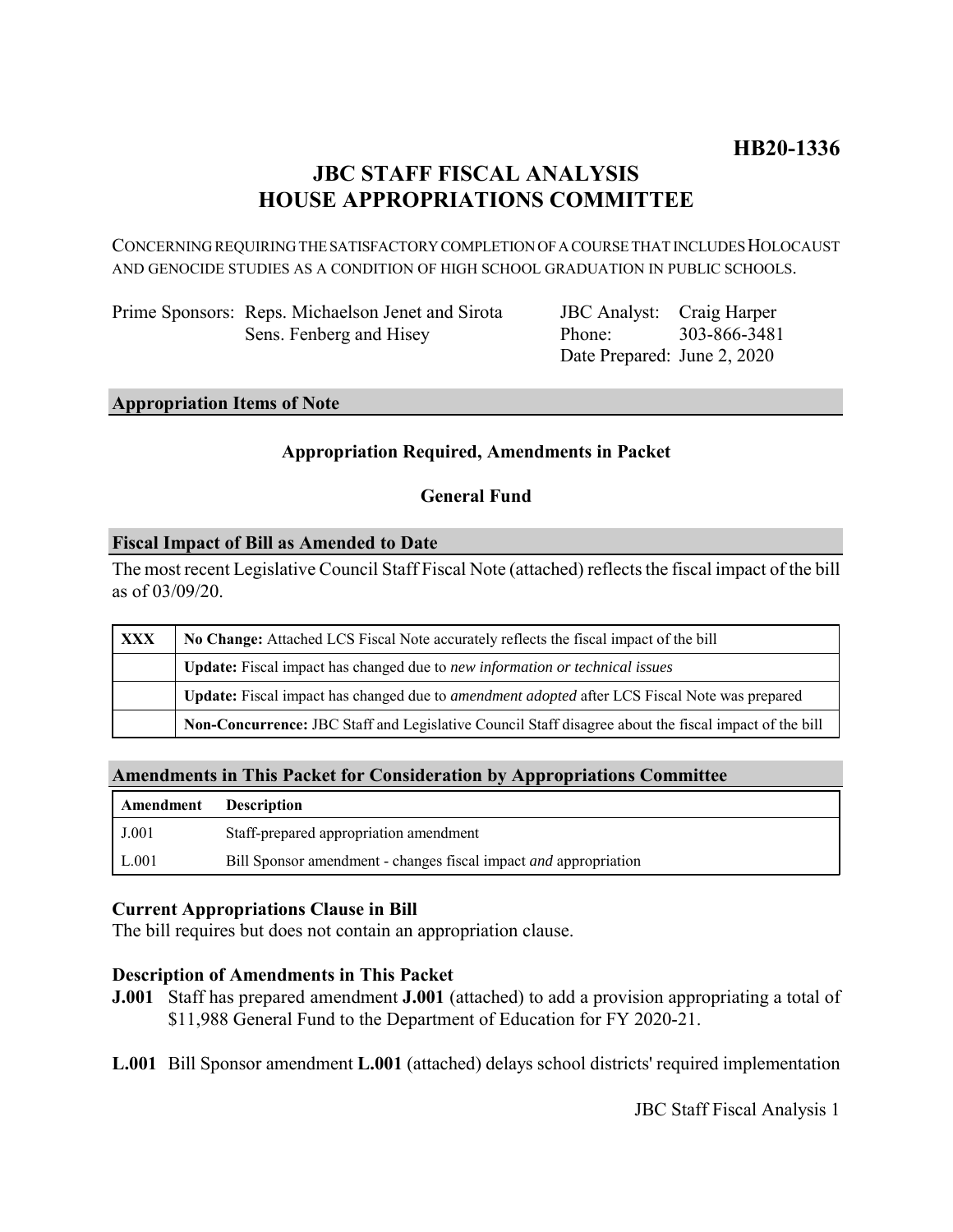# **JBC STAFF FISCAL ANALYSIS HOUSE APPROPRIATIONS COMMITTEE**

CONCERNING REQUIRING THE SATISFACTORY COMPLETION OF A COURSE THAT INCLUDES HOLOCAUST AND GENOCIDE STUDIES AS A CONDITION OF HIGH SCHOOL GRADUATION IN PUBLIC SCHOOLS.

Prime Sponsors: Reps. Michaelson Jenet and Sirota Sens. Fenberg and Hisey

JBC Analyst: Craig Harper Phone: Date Prepared: June 2, 2020 303-866-3481

# **Appropriation Items of Note**

### **Appropriation Required, Amendments in Packet**

### **General Fund**

### **Fiscal Impact of Bill as Amended to Date**

The most recent Legislative Council Staff Fiscal Note (attached) reflects the fiscal impact of the bill as of 03/09/20.

| <b>XXX</b> | No Change: Attached LCS Fiscal Note accurately reflects the fiscal impact of the bill                 |
|------------|-------------------------------------------------------------------------------------------------------|
|            | Update: Fiscal impact has changed due to new information or technical issues                          |
|            | Update: Fiscal impact has changed due to <i>amendment adopted</i> after LCS Fiscal Note was prepared  |
|            | Non-Concurrence: JBC Staff and Legislative Council Staff disagree about the fiscal impact of the bill |

### **Amendments in This Packet for Consideration by Appropriations Committee**

| Amendment | <b>Description</b>                                                      |
|-----------|-------------------------------------------------------------------------|
| J.001     | Staff-prepared appropriation amendment                                  |
| L.001     | Bill Sponsor amendment - changes fiscal impact <i>and</i> appropriation |

### **Current Appropriations Clause in Bill**

The bill requires but does not contain an appropriation clause.

### **Description of Amendments in This Packet**

- **J.001** Staff has prepared amendment **J.001** (attached) to add a provision appropriating a total of \$11,988 General Fund to the Department of Education for FY 2020-21.
- **L.001** Bill Sponsor amendment **L.001** (attached) delays school districts' required implementation